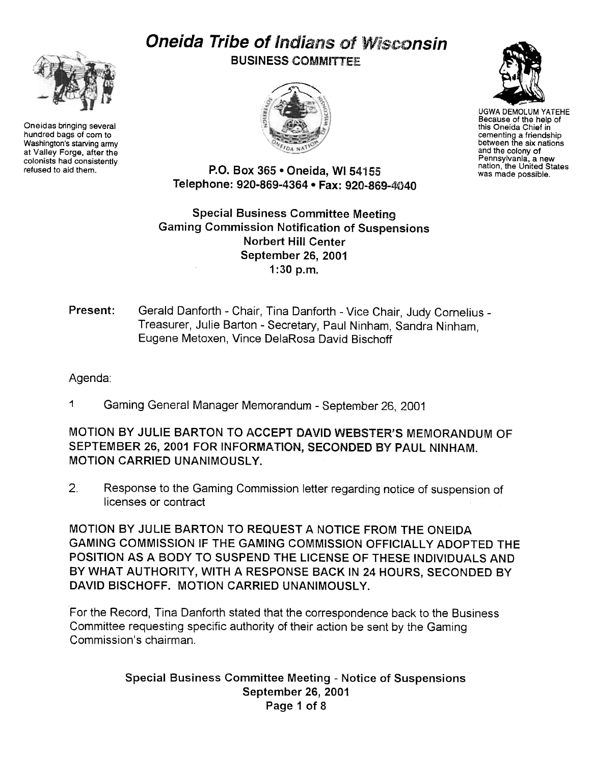# Oneida Tribe of Indians of Wisconsin



Oneidas bringing several hundred bags of corn to Washington's starving army at Valley Forge, after the colonists had consistently<br>refused to aid them. **BUSINESS COMMITTEE** 





UGWA DEMOLUM YATEHE Because of the help of this Oneida Chief in cementing a friendship between the six nations and the colony of Pennsylvania, a new nation, the United States was made possible.

P.O. Box 365 . Oneida, WI 54155 Telephone: 920-869-4364 · Fax: 920-869-4040

Special Business Committee Meeting Gaming Commission Notification of Suspensions Norbert Hill Center September 26, 2001 1 :30 p.m.

## Present: Gerald Danforth - Chair, Tina Danforth - Vice Chair, Judy Cornelius -Treasurer, Julie Barton - Secretary, Paul Ninham, Sandra Ninham, Eugene Metoxen, Vince DelaRosa David Bischoff

## Agenda:

1 Gaming General Manager Memorandum -September 26, 2001

MOTION BY JULIE BARTON TO ACCEPT DAVID WEBSTER'S MEMORANDUM OF SEPTEMBER 26, 2001 FOR INFORMATiON, SECONDED BY PAUL NINHAM. MOTION CARRIED UNANIMOUSLY.

 $2.$ Response to the Gaming Commission letter regarding notice of suspension of licenses or contract

MOTION BY JULIE BARTON TO REQUEST A NOTICE FROM THE ONEIDA GAMING COMMISSION IF THE GAMING COMMISSION OFFICIALLY ADOPTED THE POSITION AS A BODY TO SUSPEND THE liCENSE OF THESE INDIVIDUALS AND BY WHAT AUTHORITY, WITH A RESPONSE BACK IN 24 HOURS, SECONDED BY DAVID BISCHOFF. MOTION CARRIED UNANIMOUSLY.

For the Record, Tina Danforth stated that the correspondence back to the Business Committee requesting specific authority of their action be sent by the Gaming Commission's chairman.

#### Special Business Committee Meeting - Notice of Suspensions September 26, 2001 Page 1 of 8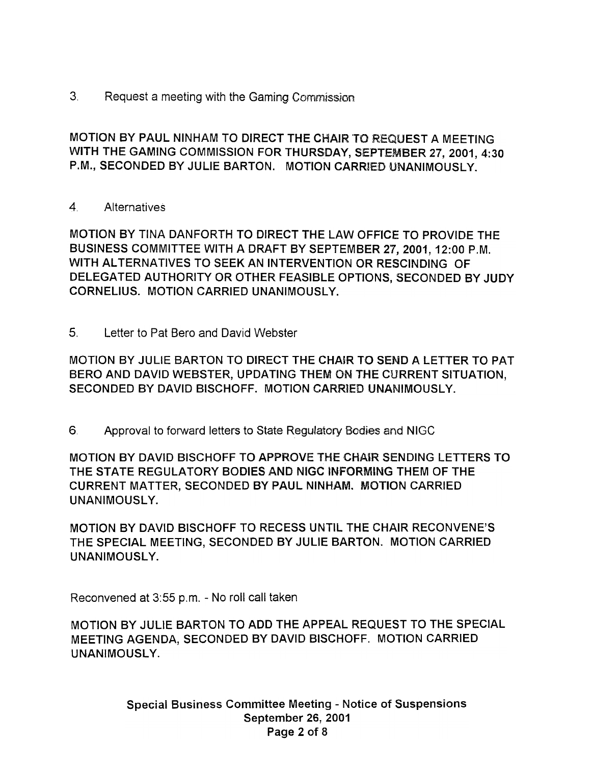$3<sup>1</sup>$ Request a meeting with the Gaming Commission

MOTION BY PAUL NINHAM TO DIRECT THE CHAIR "TO REQUEST A MEETING WITH THE GAMING COMMISSION FOR THURSDAY, SEPTEMBER 27, 2001, 4:30 P.M., SECONDED BY JULIE BARTON. MOTION CARRIED UNANIMOUSLY.

4 Alternatives

MOTION BY TINA DANFORTH TO DIRECT THE LAW OFFICE TO PROVIDE THE BUSINESS COMMITTEE WITH A DRAFT BY SEPTEMBER 27, 2001, 12:00 P.M. WITH ALTERNATIVES TO SEEK AN INTERVENTION OR RESCINDING OF DELEGATED AUTHORITY OR OTHER FEASIBLE OPTIONS, SECONDED BY JUDY CORNELIUS. MOTION CARRIED UNANIMOUSLY.

MOTION BY JULIE BARTON TO DIRECT THE CHAIR TO SEND A LETTER TO PAT BERO AND DAVID WEBSTER, UPDATING THEM ON THE CURRENT SITUATION, SECONDED BY DAVID BISCHOFF. MOTION CARRIED UNANIMOUSLY.

6 Approval to forward letters to State Regulatory Bodies and NIGC

5. Letter to Pat Bero and David Webste<br>
MOTION BY JULIE BARTON TO DIRECT<br>
BERO AND DAVID WEBSTER, UPDATING<br>
SECONDED BY DAVID BISCHOFF. MOTI<br>
6. Approval to forward letters to State R<br>
MOTION BY DAVID BISCHOFF TO APPRK<br>
TH MOTION BY DAVID BISCHOFF TO APPROVE THE CHAIR SENDING LETTERS TO THE STATE REGULATORY BODIES AND NIGC INFORMING THEM OF THE CURRENT MATTER, SECONDED BY PAUL NINHAM. MOTION CARRIED UNANIMOUSLY.

MOTION BY DAVID BISCHOFF TO RECESS UNTIL THE CHAIR RECONVENE'S THE SPECIAL MEETING, SECONDED BY JULIE BARTON. MOTION CARRIED UNANIMOUSL Y.

Reconvened at 3:55 p.m. - No roll call taken

MOTION BY JULIE BARTON TO ADD THE APPEAL REQUEST TO THE SPECIAL MEETING AGENDA, SECONDED BY DAVID BISCHOFF. MOTION CARRIED UNANIMOUSLY.

> Special Business Committee Meeting - Notice of Suspensions September 26, 2001 Page 2 of 8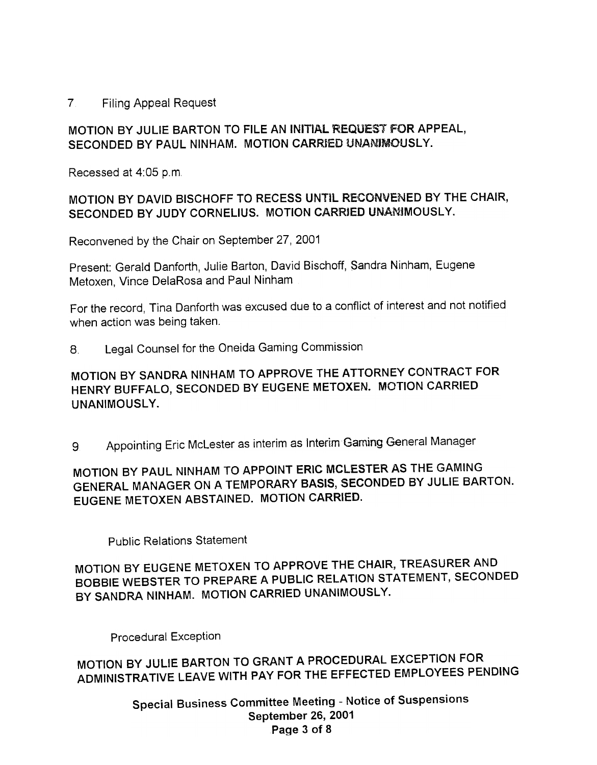#### 7. Filing Appeal Request

#### MOTION BY JULIE BARTON TO FILE AN INITIAL REQUEST FOR APPEAL, SECONDED BY PAUL NINHAM. MOTION CARRIED UNANIMOUSLY.

Recessed at 4:05 p.m.

## MOTION BY DAVID BISCHOFF TO RECESS UNTiL RECONVENED BY THE CHAIR, SECONDED BY JUDY CORNELIUS. MOTION CARRIED UNAMIMOUSLY.

Reconvened by the Chair on September 27, 2001

Present: Gerald Danforth, Julie Barton, David Bischoff, Sandra Ninham, Eugene Metoxen, Vince DelaRosa and Paul Ninham

For the record, Tina Danforth was excused due to a conflict of interest and not notified when action was being taken.

8. Legal Counsel for the Oneida Gaming Commission

# MOTION BY SANDRA NINHAM TO APPROVE THE ATTORNEY CONTRACT FOR HENRY BUFFALO, SECONDED BY EUGENE METOXEN. MOTION CARRIED UNANIMOUSLY.

9. Appointing Eric McLester as interim as Interim Gaming General Manager

# MOTION BY PAUL NINHAM TO APPOINT ERIC MCLESTER AS THE GAMING GENERAL MANAGER ON A TEMPORARY BASIS, SECONDED BY JULIE BARTON. EUGENE METOXEN ABSTAINED. MOTION CARRIED.

Public Relations Statement

MOTION BY EUGENE METOXEN TO APPROVE THE CHAIR, TREASURER AND BOBBIE WEBSTER TO PREPARE A PUBLIC RELATION STATEMENT, SECONDED BY SANDRA NINHAM. MOTION CARRIED UNANIMOUSLY.

Procedural Exception

MOTION BY JULIE BARTON TO GRANT A PROCEDURAL EXCEPTION FOR ADMINISTRATIVE LEAVE WITH PAY FOR THE EFFECTED EMPLOYEES PENDING

> Special Business Committee Meeting -Notice of Suspensions September 26, 2001 Page 3 of 8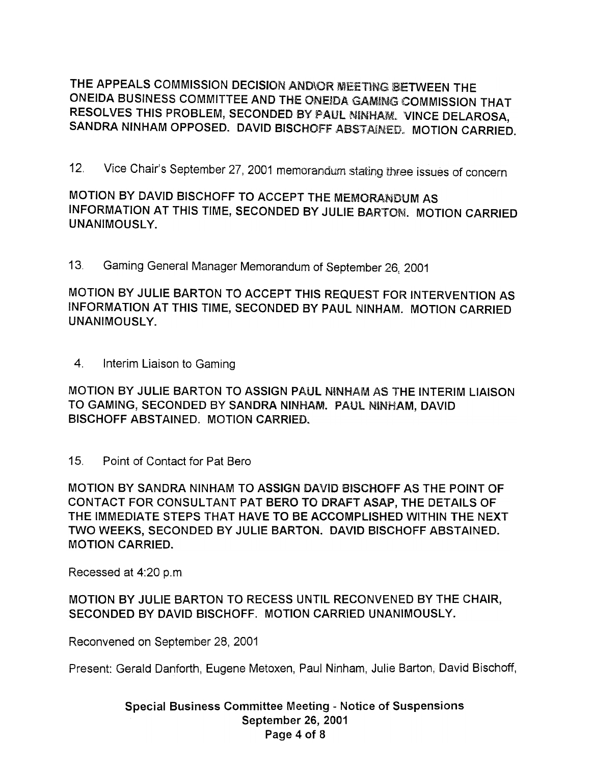THE APPEALS COMMISSION DECISION AND\OR MEETING 8ETWEEN THE ONEIDA BUSINESS COMMITTEE AND THE ONEIDA GAMING COMMISSION THAT RESOLVES THIS PROBLEM, SECONDED BY PAUL NINHAM. VINCE DELAROSA, SANDRA NINHAM OPPOSED. DAVID BISCHOFf ABSTAINED., MOTION CARRIED.

12. Vice Chair's September 27, 2001 memorandum stating three issues of concern

MOTION BY DAVID BISCHOFF TO ACCEPT THE MEMORANDUM AS INFORMATION AT THIS TIME, SECONDED BY JULIE BARTOM. MOTION CARRIED UNANIMOUSLY.

13 Gaming General Manager Memorandum of September 26,2001

MOTION BY JULIE BARTON TO ACCEPT THIS REQUEST FOR INTERVENTION AS INFORMATION AT THIS TIME, SECONDED BY PAUL NINHAM. MOTION CARRIED UNANIMOUSLY.

4. Interim Liaison to Gaming

MOTION BY JULIE BARTON TO ASSIGN PAUL NINHAM AS THE INTERIM LIAISON TO GAMING, SECONDED BY SANDRA NINHAM. PAUL NiNHAM, DAVID BISCHOFF ABSTAINED. MOTION CARRIED.

15. Point of Contact for Pat Bero

MOTION BY SANDRA NINHAM TO ASSIGN DAV1D BISCHOFF AS THE POINT OF CONTACT FOR CONSULTANT PAT BERO TO DRAFT ASAP, THE DETAILS OF THE IMMEDIATE STEPS THAT HAVE TO BE ACCOMPLISHED WITHIN THE NEXT TWO WEEKS, SECONDED BY JULIE BARTON. DAVID BISCHOFF ABSTAINED. MOTION CARRIED.

Recessed at 4:20 p.m.

MOTION BY JULIE BARTON TO RECESS UNTIL RECONVENED BY THE CHAIR, SECONDED BY DAVID BISCHOFF. MOTION CARRIED UNANIMOUSLY.

Reconvened on September 28, 2001

Present: Gerald Danforth, Eugene Metoxen, Paul Ninham, Julie Barton, David Bischoff,

Special Business Committee Meeting - Notice of Suspensions September 26, 2001 Page 4 of 8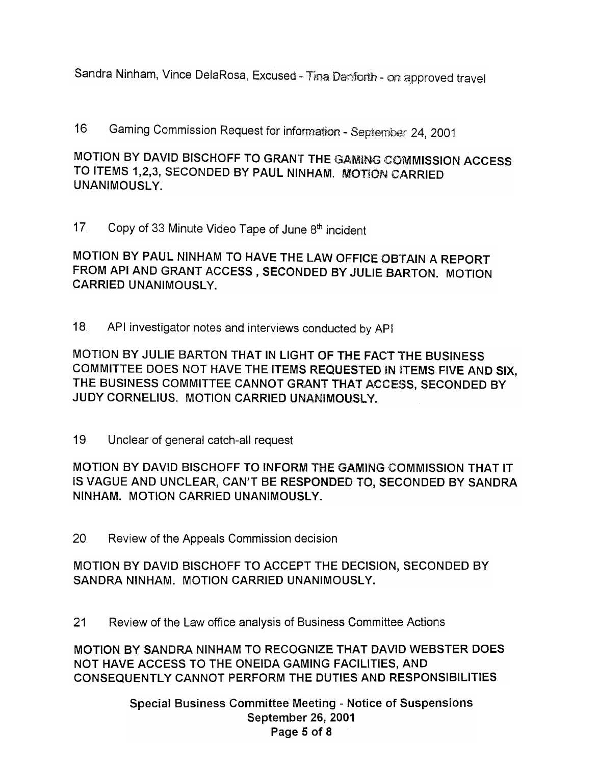Sandra Ninham, Vince DelaRosa, Excused - Tina Danforth - on approved travel

16 Gaming Commission Request for information -September 24, 2001

MOTION BY DAVID BISCHOFF TO GRANT THE GAMING COMMISSION ACCESS TO ITEMS 1,2,3, SECONDED BY PAUL NINHAM. MOTION CARRIED UNANIMOUSLY.

17 Copy of 33 Minute Video Tape of June 8th incident

MOTION BY PAUL NINHAM TO HAVE THE LAW OFFICE OBTAIN A REPORT FROM API AND GRANT ACCESS, SECONDED BY JULIE BARTON. MOTION CARRIED UNANIMOUSLY.

18. API investigator notes and interviews conducted by API

MOTION BY JULIE BARTON THAT IN LIGHT OF THE FACT THE BUSINESS COMMITTEE DOES NOT HAVE THE ITEMS REQUESTED IN ITEMS FIVE AND SIX, THE BUSINESS COMMITTEE CANNOT GRANT THAT ACCESS, SECONDED BY JUDY CORNELIUS. MOTION CARRIED UNANIMOUSLY

19 Unclear of general catch-all request

MOTION BY DAVID BISCHOFF TO INFORM THE GAMING COMMISSION THAT IT IS VAGUE AND UNCLEAR, CAN'T BE RESPONDED TO, SECONDED BY SANDRA NINHAM. MOTION CARRIED UNANIMOUSLY.

20 Review of the Appeals Commission decision

MOTION BY DAVID BISCHOFF TO ACCEPT THE DECISION, SECONDED BY SANDRA NINHAM. MOTION CARRIED UNANIMOUSLY.

21 Review of the Law office analysis of Business Committee Actions

MOTION BY SANDRA NINHAM TO RECOGNIZE THAT DAVID WEBSTER DOES NOT HAVE ACCESS TO THE ONEIDA GAMING FACILITIES, AND CONSEQUENTLY CANNOT PERFORM THE DUTIES AND RESPONSIBILITIES

> Special Business Committee Meeting - Notice of Suspensions September 26, 2001 Page 5 of 8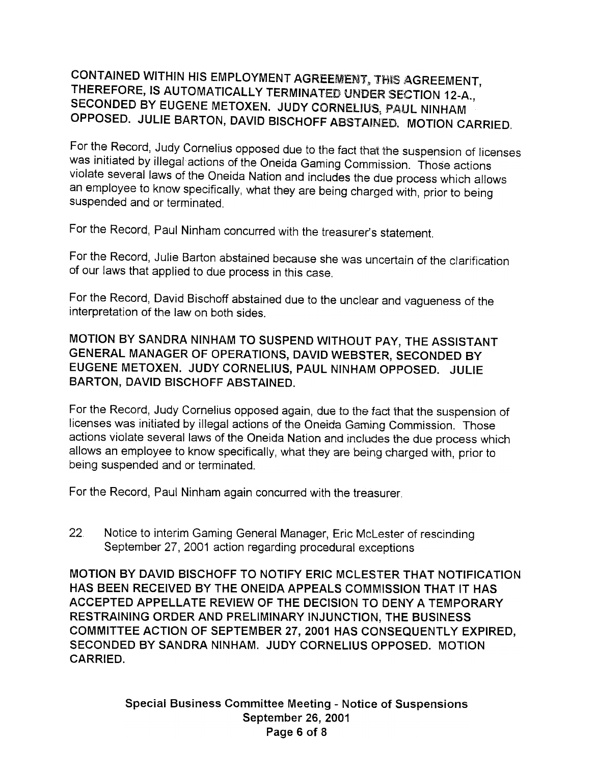# CONTAINED WITHIN HIS EMPLOYMENT AGREEMENT, THIS AGREEMENT, THEREFORE, IS AUTOMATICALLY TERMINATED UNDER SECTION 12-A., SECONDED BY EUGENE METOXEN. JUDY CORNELIUS, PAUL NINHAM OPPOSED. JULIE BARTON, DAVID BISCHOFF ABSTAINED. MOTION CARRIED.

For the Record, Judy Cornelius opposed due to the fact that the suspension of licenses was initiated by illegal actions of the Oneida Gaming Commission. Those actions violate several laws of the Oneida Nation and includes the due process which allows an employee to know specifically, what they are being charged with, prior to being suspended and or terminated.

For the Record, Paul Ninham concurred with the treasurer's statement.

For the Record, Julie Barton abstained because she was uncertain of the clarification of our laws that applied to due process in this case.

For the Record, David Bischoff abstained due to the unclear and vagueness of the interpretation of the law on both sides.

MOTION BY SANDRA NINHAM TO SUSPEND WITHOUT PAY, THE ASSISTANT GENERAL MANAGER OF OPERATIONS, DAVID WEBSTER, SECONDED BY EUGENE METOXEN. JUDY CORNELIUS, PAUL NINHAM OPPOSED. JULIE BARTON, DAVID BISCHOFF ABSTAINED.

For the Record, Judy Cornelius opposed again, due to the fact that the suspension of licenses was initiated by illegal actions of the Oneida Gaming Commission. Those actions violate several laws of the Oneida Nation and includes the due process which allows an employee to know specifically, what they are being charged with, prior to being suspended and or terminated.

For the Record, Paul Ninham again concurred with the treasurer.

22 Notice to interim Gaming General Manager, Eric McLester of rescinding September 27, 2001 action regarding procedural exceptions

MOTION BY DAVID BISCHOFF TO NOTIFY ERIC MCLESTER THAT NOTIFICATION HAS BEEN RECEIVED BY THE ONEIDA APPEALS COMMISSION THAT IT HAS ACCEPTED APPELLATE REVIEW OF THE DECISION TO DENY A TEMPORARY RESTRAINING ORDER AND PRELIMINARY INJUNCTION, THE BUSINESS COMMITTEE ACTION OF SEPTEMBER 27, 2001 HAS CONSEQUENTLY EXPIRED, SECONDED BY SANDRA NINHAM. JUDY CORNELIUS OPPOSED. MOTION CARRIED.

> Special Business Committee Meeting - Notice of Suspensions September 26, 2001 Page 6 of 8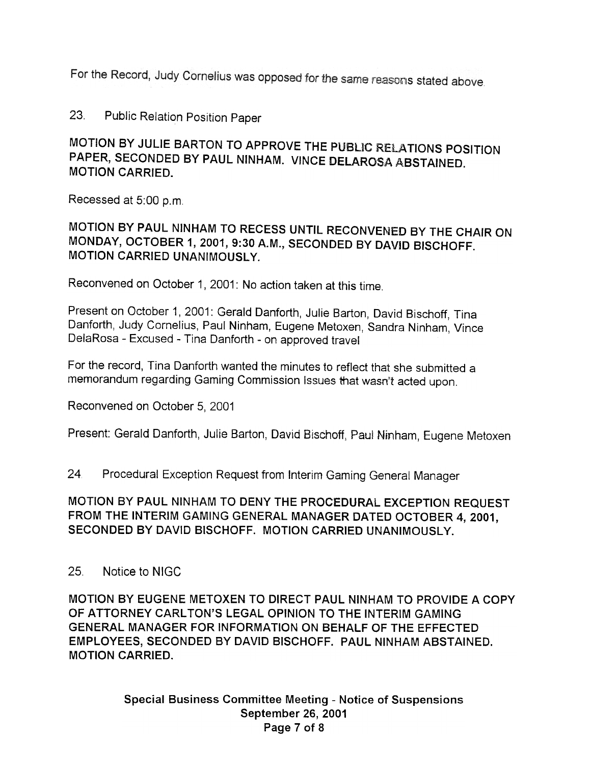For the Record, Judy Cornelius was opposed for the same reasons stated above.

23. Public Relation Position Paper

# MOTION BY JULIE BARTON TO APPROVE THE PUBLIC RELATIONS POSITION PAPER, SECONDED BY PAUL NINHAM. VINCE DELAROSA ABSTAINED. MOTION CARRIED.

Recessed at 5:00 p.m.

MOTION BY PAUL NINHAM TO RECESS UNTIL RECONVENED BY THE CHAIR ON MONDAY, OCTOBER 1,2001,9:30 A.M., SECONDED BY DAVID BISCHOFF. MOTION CARRIED UNANIMOUSLY.

Reconvened on October 1, 2001: No action taken at this time.

Present on October 1, 2001: Gerald Danforth, Julie Barton, David Bischoff, Tina Danforth, Judy Cornelius, Paul Ninham, Eugene Metoxen, Sandra Ninham, Vince DelaRosa - Excused - Tina Danforth - on approved travel

For the record, Tina Danforth wanted the minutes to reflect that she submitted a memorandum regarding Gaming Commission Issues that wasn't acted upon.

Reconvened on October 5, 2001

Present: Gerald Danforth, Julie Barton, David Bischoff, Paul Ninham, Eugene Metoxen

24 Procedural Exception Request from Interim Gaming General Manager

## MOTION BY PAUL NINHAM TO DENY THE PROCEDURAL EXCEPTION REQUEST FROM THE INTERIM GAMING GENERAL MANAGER DATED OCTOBER 4,2001, SECONDED BY DAVID BISCHOFF. MOTION CARRIED UNANIMOUSLY.

#### 25. Notice to NIGC

MOTION BY EUGENE METOXEN TO DIRECT PAUL NINHAM TO PROVIDE A COpy OF ATTORNEY CARLTON'S LEGAL OPINION TO THE INTERIM GAMING GENERAL MANAGER FOR INFORMATION ON BEHALF OF THE EFFECTED EMPLOYEES, SECONDED BY DAVID BISCHOFF. PAUL NINHAM ABSTAINED. MOTION CARRIED.

> Special Business Committee Meeting - Notice of Suspensions September 26, 2001 Page 7 of 8